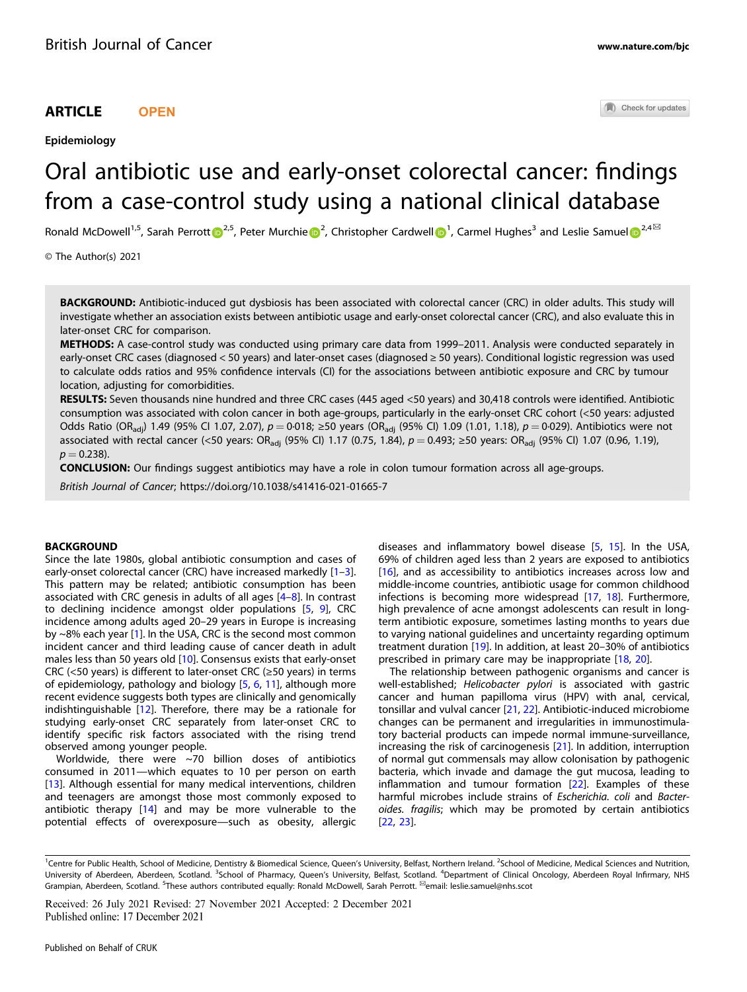# ARTICLE **OPEN**

Epidemiology

Check for updates

# Oral antibiotic use and early-onset colorectal cancer: findings from a case-control study using a national clinical database

Ronald McDowell<sup>1,5</sup>, Sarah Perrott D<sup>[2](http://orcid.org/0000-0002-8402-8670),5</sup>, Peter Murchie D<sup>2</sup>, Christopher Cardwe[l](http://orcid.org/0000-0002-8402-8670)l D<sup>[1](http://orcid.org/0000-0002-2689-4335)</sup>, Carmel Hughes<sup>3</sup> and Leslie Samuel D<sup>2,4区</sup>

© The Author(s) 2021

BACKGROUND: Antibiotic-induced gut dysbiosis has been associated with colorectal cancer (CRC) in older adults. This study will investigate whether an association exists between antibiotic usage and early-onset colorectal cancer (CRC), and also evaluate this in later-onset CRC for comparison.

METHODS: A case-control study was conducted using primary care data from 1999–2011. Analysis were conducted separately in early-onset CRC cases (diagnosed < 50 years) and later-onset cases (diagnosed ≥ 50 years). Conditional logistic regression was used to calculate odds ratios and 95% confidence intervals (CI) for the associations between antibiotic exposure and CRC by tumour location, adjusting for comorbidities.

RESULTS: Seven thousands nine hundred and three CRC cases (445 aged <50 years) and 30,418 controls were identified. Antibiotic consumption was associated with colon cancer in both age-groups, particularly in the early-onset CRC cohort (<50 years: adjusted Odds Ratio (OR<sub>adj</sub>) 1.49 (95% Cl 1.07, 2.07),  $p = 0.018$ ; ≥50 years (OR<sub>adj</sub> (95% Cl) 1.09 (1.01, 1.18),  $p = 0.029$ ). Antibiotics were not associated with rectal cancer (<50 years: OR<sub>adi</sub> (95% Cl) 1.17 (0.75, 1.84),  $p = 0.493$ ; ≥50 years: OR<sub>adi</sub> (95% Cl) 1.07 (0.96, 1.19),  $p = 0.238$ ).

CONCLUSION: Our findings suggest antibiotics may have a role in colon tumour formation across all age-groups.

British Journal of Cancer;<https://doi.org/10.1038/s41416-021-01665-7>

## **BACKGROUND**

Since the late 1980s, global antibiotic consumption and cases of early-onset colorectal cancer (CRC) have increased markedly [\[1](#page-8-0)–[3\]](#page-8-0). This pattern may be related; antibiotic consumption has been associated with CRC genesis in adults of all ages [\[4](#page-8-0)–[8](#page-9-0)]. In contrast to declining incidence amongst older populations [[5](#page-8-0), [9\]](#page-9-0), CRC incidence among adults aged 20–29 years in Europe is increasing by ~8% each year [[1](#page-8-0)]. In the USA, CRC is the second most common incident cancer and third leading cause of cancer death in adult males less than 50 years old [[10\]](#page-9-0). Consensus exists that early-onset CRC (<50 years) is different to later-onset CRC (≥50 years) in terms of epidemiology, pathology and biology [\[5,](#page-8-0) [6,](#page-8-0) [11\]](#page-9-0), although more recent evidence suggests both types are clinically and genomically indishtinguishable [\[12](#page-9-0)]. Therefore, there may be a rationale for studying early-onset CRC separately from later-onset CRC to identify specific risk factors associated with the rising trend observed among younger people.

Worldwide, there were ~70 billion doses of antibiotics consumed in 2011—which equates to 10 per person on earth [\[13\]](#page-9-0). Although essential for many medical interventions, children and teenagers are amongst those most commonly exposed to antibiotic therapy [[14\]](#page-9-0) and may be more vulnerable to the potential effects of overexposure—such as obesity, allergic diseases and inflammatory bowel disease [\[5,](#page-8-0) [15\]](#page-9-0). In the USA, 69% of children aged less than 2 years are exposed to antibiotics [\[16\]](#page-9-0), and as accessibility to antibiotics increases across low and middle-income countries, antibiotic usage for common childhood infections is becoming more widespread [\[17,](#page-9-0) [18\]](#page-9-0). Furthermore, high prevalence of acne amongst adolescents can result in longterm antibiotic exposure, sometimes lasting months to years due to varying national guidelines and uncertainty regarding optimum treatment duration [\[19\]](#page-9-0). In addition, at least 20–30% of antibiotics prescribed in primary care may be inappropriate [[18,](#page-9-0) [20\]](#page-9-0).

The relationship between pathogenic organisms and cancer is well-established; Helicobacter pylori is associated with gastric cancer and human papilloma virus (HPV) with anal, cervical, tonsillar and vulval cancer [\[21](#page-9-0), [22](#page-9-0)]. Antibiotic-induced microbiome changes can be permanent and irregularities in immunostimulatory bacterial products can impede normal immune-surveillance, increasing the risk of carcinogenesis [[21\]](#page-9-0). In addition, interruption of normal gut commensals may allow colonisation by pathogenic bacteria, which invade and damage the gut mucosa, leading to inflammation and tumour formation [\[22](#page-9-0)]. Examples of these harmful microbes include strains of Escherichia. coli and Bacteroides. fragilis; which may be promoted by certain antibiotics [\[22,](#page-9-0) [23](#page-9-0)].

<sup>&</sup>lt;sup>1</sup>Centre for Public Health, School of Medicine, Dentistry & Biomedical Science, Queen's University, Belfast, Northern Ireland. <sup>2</sup>School of Medicine, Medical Sciences and Nutrition, University of Aberdeen, Aberdeen, Scotland. <sup>3</sup>School of Pharmacy, Queen's University, Belfast, Scotland. <sup>4</sup>Department of Clinical Oncology, Aberdeen Royal Infirmary, NHS Grampian, Aberdeen, Scotland. <sup>5</sup>These authors contributed equally: Ronald McDowell, Sarah Perrott. <sup>⊠</sup>email: [leslie.samuel@nhs.scot](mailto:leslie.samuel@nhs.scot)

Received: 26 July 2021 Revised: 27 November 2021 Accepted: 2 December 2021 Published online: 17 December 2021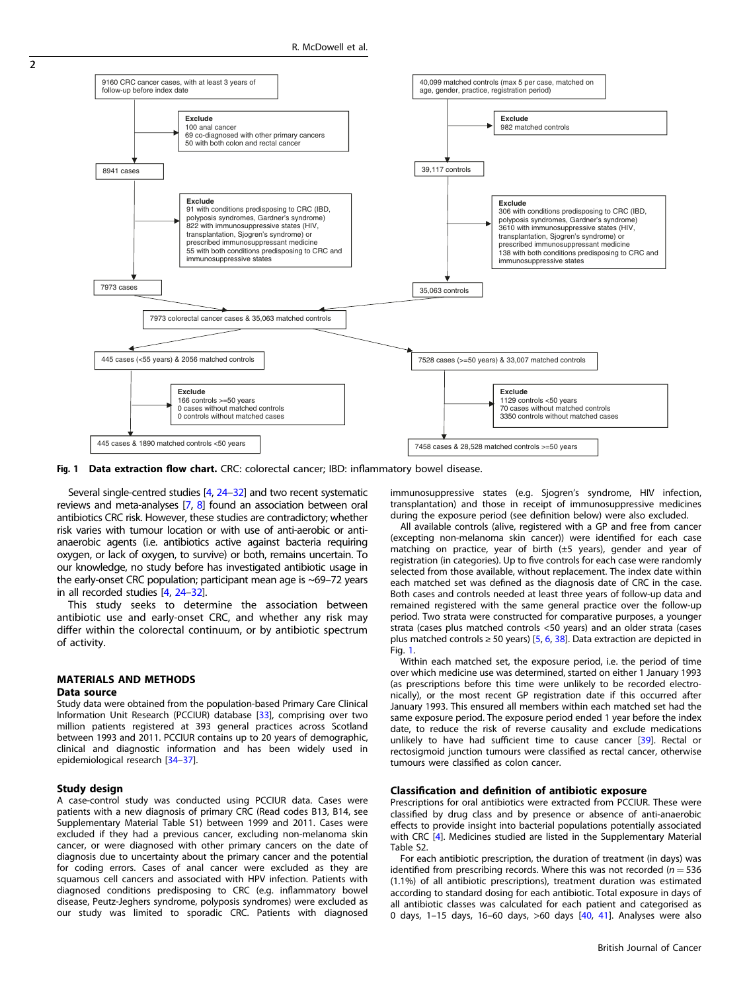

Fig. 1 Data extraction flow chart. CRC: colorectal cancer; IBD: inflammatory bowel disease.

Several single-centred studies [\[4,](#page-8-0) [24](#page-9-0)–[32](#page-9-0)] and two recent systematic reviews and meta-analyses [\[7](#page-9-0), [8](#page-9-0)] found an association between oral antibiotics CRC risk. However, these studies are contradictory; whether risk varies with tumour location or with use of anti-aerobic or antianaerobic agents (i.e. antibiotics active against bacteria requiring oxygen, or lack of oxygen, to survive) or both, remains uncertain. To our knowledge, no study before has investigated antibiotic usage in the early-onset CRC population; participant mean age is ~69–72 years in all recorded studies [[4,](#page-8-0) [24](#page-9-0)–[32](#page-9-0)].

This study seeks to determine the association between antibiotic use and early-onset CRC, and whether any risk may differ within the colorectal continuum, or by antibiotic spectrum of activity.

# MATERIALS AND METHODS

# Data source

Study data were obtained from the population-based Primary Care Clinical Information Unit Research (PCCIUR) database [[33\]](#page-9-0), comprising over two million patients registered at 393 general practices across Scotland between 1993 and 2011. PCCIUR contains up to 20 years of demographic, clinical and diagnostic information and has been widely used in epidemiological research [[34](#page-9-0)–[37](#page-9-0)].

### Study design

A case-control study was conducted using PCCIUR data. Cases were patients with a new diagnosis of primary CRC (Read codes B13, B14, see Supplementary Material Table S1) between 1999 and 2011. Cases were excluded if they had a previous cancer, excluding non-melanoma skin cancer, or were diagnosed with other primary cancers on the date of diagnosis due to uncertainty about the primary cancer and the potential for coding errors. Cases of anal cancer were excluded as they are squamous cell cancers and associated with HPV infection. Patients with diagnosed conditions predisposing to CRC (e.g. inflammatory bowel disease, Peutz-Jeghers syndrome, polyposis syndromes) were excluded as our study was limited to sporadic CRC. Patients with diagnosed immunosuppressive states (e.g. Sjogren's syndrome, HIV infection, transplantation) and those in receipt of immunosuppressive medicines during the exposure period (see definition below) were also excluded.

All available controls (alive, registered with a GP and free from cancer (excepting non-melanoma skin cancer)) were identified for each case matching on practice, year of birth (±5 years), gender and year of registration (in categories). Up to five controls for each case were randomly selected from those available, without replacement. The index date within each matched set was defined as the diagnosis date of CRC in the case. Both cases and controls needed at least three years of follow-up data and remained registered with the same general practice over the follow-up period. Two strata were constructed for comparative purposes, a younger strata (cases plus matched controls <50 years) and an older strata (cases plus matched controls  $\geq$  50 years) [\[5](#page-8-0), [6,](#page-8-0) [38\]](#page-9-0). Data extraction are depicted in Fig. 1.

Within each matched set, the exposure period, i.e. the period of time over which medicine use was determined, started on either 1 January 1993 (as prescriptions before this time were unlikely to be recorded electronically), or the most recent GP registration date if this occurred after January 1993. This ensured all members within each matched set had the same exposure period. The exposure period ended 1 year before the index date, to reduce the risk of reverse causality and exclude medications unlikely to have had sufficient time to cause cancer [\[39](#page-9-0)]. Rectal or rectosigmoid junction tumours were classified as rectal cancer, otherwise tumours were classified as colon cancer.

## Classification and definition of antibiotic exposure

Prescriptions for oral antibiotics were extracted from PCCIUR. These were classified by drug class and by presence or absence of anti-anaerobic effects to provide insight into bacterial populations potentially associated with CRC [\[4](#page-8-0)]. Medicines studied are listed in the Supplementary Material Table S2.

For each antibiotic prescription, the duration of treatment (in days) was identified from prescribing records. Where this was not recorded ( $n = 536$ ) (1.1%) of all antibiotic prescriptions), treatment duration was estimated according to standard dosing for each antibiotic. Total exposure in days of all antibiotic classes was calculated for each patient and categorised as 0 days, 1–15 days, 16–60 days, >60 days [[40,](#page-9-0) [41\]](#page-9-0). Analyses were also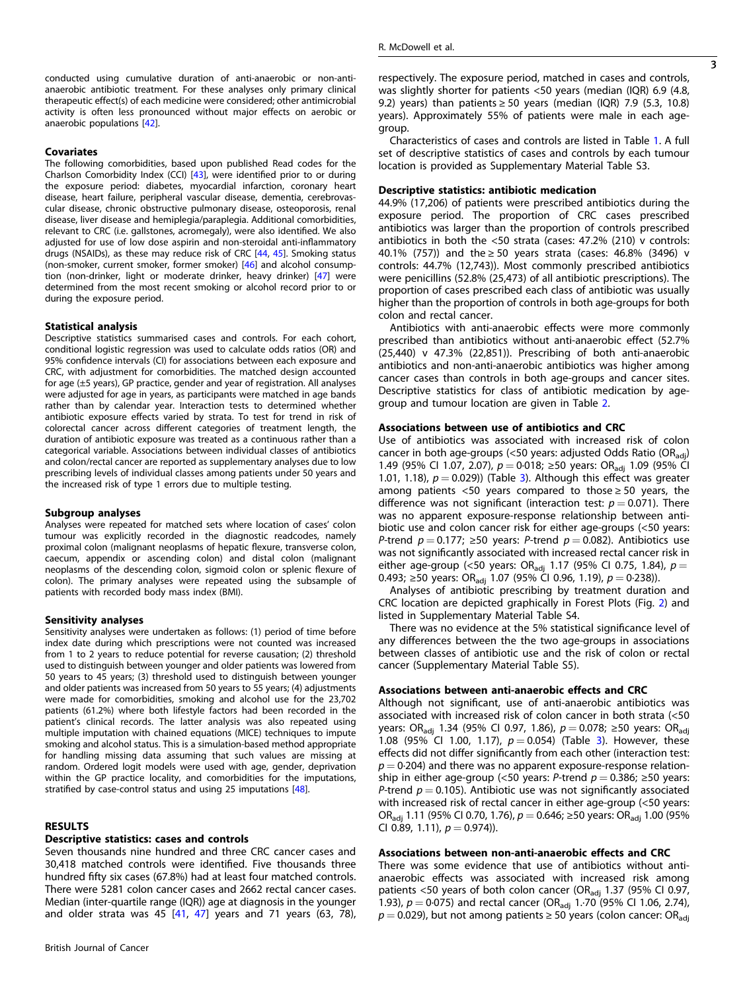conducted using cumulative duration of anti-anaerobic or non-antianaerobic antibiotic treatment. For these analyses only primary clinical therapeutic effect(s) of each medicine were considered; other antimicrobial activity is often less pronounced without major effects on aerobic or anaerobic populations [[42\]](#page-9-0).

## Covariates

The following comorbidities, based upon published Read codes for the Charlson Comorbidity Index (CCI) [\[43](#page-9-0)], were identified prior to or during the exposure period: diabetes, myocardial infarction, coronary heart disease, heart failure, peripheral vascular disease, dementia, cerebrovascular disease, chronic obstructive pulmonary disease, osteoporosis, renal disease, liver disease and hemiplegia/paraplegia. Additional comorbidities, relevant to CRC (i.e. gallstones, acromegaly), were also identified. We also adjusted for use of low dose aspirin and non-steroidal anti-inflammatory drugs (NSAIDs), as these may reduce risk of CRC [\[44](#page-9-0), [45\]](#page-9-0). Smoking status (non-smoker, current smoker, former smoker) [[46](#page-9-0)] and alcohol consumption (non-drinker, light or moderate drinker, heavy drinker) [[47](#page-9-0)] were determined from the most recent smoking or alcohol record prior to or during the exposure period.

## Statistical analysis

Descriptive statistics summarised cases and controls. For each cohort, conditional logistic regression was used to calculate odds ratios (OR) and 95% confidence intervals (CI) for associations between each exposure and CRC, with adjustment for comorbidities. The matched design accounted for age (±5 years), GP practice, gender and year of registration. All analyses were adjusted for age in years, as participants were matched in age bands rather than by calendar year. Interaction tests to determined whether antibiotic exposure effects varied by strata. To test for trend in risk of colorectal cancer across different categories of treatment length, the duration of antibiotic exposure was treated as a continuous rather than a categorical variable. Associations between individual classes of antibiotics and colon/rectal cancer are reported as supplementary analyses due to low prescribing levels of individual classes among patients under 50 years and the increased risk of type 1 errors due to multiple testing.

#### Subgroup analyses

Analyses were repeated for matched sets where location of cases' colon tumour was explicitly recorded in the diagnostic readcodes, namely proximal colon (malignant neoplasms of hepatic flexure, transverse colon, caecum, appendix or ascending colon) and distal colon (malignant neoplasms of the descending colon, sigmoid colon or splenic flexure of colon). The primary analyses were repeated using the subsample of patients with recorded body mass index (BMI).

## Sensitivity analyses

Sensitivity analyses were undertaken as follows: (1) period of time before index date during which prescriptions were not counted was increased from 1 to 2 years to reduce potential for reverse causation; (2) threshold used to distinguish between younger and older patients was lowered from 50 years to 45 years; (3) threshold used to distinguish between younger and older patients was increased from 50 years to 55 years; (4) adjustments were made for comorbidities, smoking and alcohol use for the 23,702 patients (61.2%) where both lifestyle factors had been recorded in the patient's clinical records. The latter analysis was also repeated using multiple imputation with chained equations (MICE) techniques to impute smoking and alcohol status. This is a simulation-based method appropriate for handling missing data assuming that such values are missing at random. Ordered logit models were used with age, gender, deprivation within the GP practice locality, and comorbidities for the imputations, stratified by case-control status and using 25 imputations [\[48](#page-9-0)].

# RESULTS

# Descriptive statistics: cases and controls

Seven thousands nine hundred and three CRC cancer cases and 30,418 matched controls were identified. Five thousands three hundred fifty six cases (67.8%) had at least four matched controls. There were 5281 colon cancer cases and 2662 rectal cancer cases. Median (inter-quartile range (IQR)) age at diagnosis in the younger and older strata was 45  $[41, 47]$  $[41, 47]$  $[41, 47]$  $[41, 47]$  $[41, 47]$  years and 71 years (63, 78), respectively. The exposure period, matched in cases and controls, was slightly shorter for patients <50 years (median (IQR) 6.9 (4.8, 9.2) years) than patients  $\geq$  50 years (median (IQR) 7.9 (5.3, 10.8) years). Approximately 55% of patients were male in each agegroup.

Characteristics of cases and controls are listed in Table [1.](#page-3-0) A full set of descriptive statistics of cases and controls by each tumour location is provided as Supplementary Material Table S3.

## Descriptive statistics: antibiotic medication

44.9% (17,206) of patients were prescribed antibiotics during the exposure period. The proportion of CRC cases prescribed antibiotics was larger than the proportion of controls prescribed antibiotics in both the <50 strata (cases: 47.2% (210) v controls: 40.1% (757)) and the ≥ 50 years strata (cases: 46.8% (3496) v controls: 44.7% (12,743)). Most commonly prescribed antibiotics were penicillins (52.8% (25,473) of all antibiotic prescriptions). The proportion of cases prescribed each class of antibiotic was usually higher than the proportion of controls in both age-groups for both colon and rectal cancer.

Antibiotics with anti-anaerobic effects were more commonly prescribed than antibiotics without anti-anaerobic effect (52.7% (25,440) v 47.3% (22,851)). Prescribing of both anti-anaerobic antibiotics and non-anti-anaerobic antibiotics was higher among cancer cases than controls in both age-groups and cancer sites. Descriptive statistics for class of antibiotic medication by agegroup and tumour location are given in Table [2.](#page-4-0)

#### Associations between use of antibiotics and CRC

Use of antibiotics was associated with increased risk of colon cancer in both age-groups ( $<$ 50 years: adjusted Odds Ratio (OR<sub>adi</sub>) 1.49 (95% CI 1.07, 2.07),  $p = 0.018$ ; ≥50 years: OR<sub>adj</sub> 1.09 (95% CI 1.01, 1.18),  $p = 0.029$ ) (Table [3](#page-5-0)). Although this effect was greater among patients <50 years compared to those  $\geq$  50 years, the difference was not significant (interaction test:  $p = 0.071$ ). There was no apparent exposure-response relationship between antibiotic use and colon cancer risk for either age-groups (<50 years: P-trend  $p = 0.177$ ; ≥50 years: P-trend  $p = 0.082$ ). Antibiotics use was not significantly associated with increased rectal cancer risk in either age-group (<50 years: OR<sub>adj</sub> 1.17 (95% CI 0.75, 1.84),  $p =$ 0.493; ≥50 years: OR<sub>adj</sub> 1.07 (95% CI 0.96, 1.19),  $p = 0.238$ )).

Analyses of antibiotic prescribing by treatment duration and CRC location are depicted graphically in Forest Plots (Fig. [2\)](#page-6-0) and listed in Supplementary Material Table S4.

There was no evidence at the 5% statistical significance level of any differences between the the two age-groups in associations between classes of antibiotic use and the risk of colon or rectal cancer (Supplementary Material Table S5).

# Associations between anti-anaerobic effects and CRC

Although not significant, use of anti-anaerobic antibiotics was associated with increased risk of colon cancer in both strata (<50 years: OR<sub>adj</sub> 1.34 (95% CI 0.97, 1.86),  $p = 0.078$ ; ≥50 years: OR<sub>adj</sub> 1.08 (95% CI 1.00, 1.17),  $p = 0.054$ ) (Table [3](#page-5-0)). However, these effects did not differ significantly from each other (interaction test:  $p = 0.204$ ) and there was no apparent exposure-response relationship in either age-group (<50 years: P-trend  $p = 0.386$ ; ≥50 years: P-trend  $p = 0.105$ ). Antibiotic use was not significantly associated with increased risk of rectal cancer in either age-group (<50 years: OR<sub>adi</sub> 1.11 (95% CI 0.70, 1.76),  $p = 0.646$ ; ≥50 years: OR<sub>adi</sub> 1.00 (95% CI 0.89, 1.11),  $p = 0.974$ ).

## Associations between non-anti-anaerobic effects and CRC

There was some evidence that use of antibiotics without antianaerobic effects was associated with increased risk among patients <50 years of both colon cancer (OR<sub>adj</sub> 1.37 (95% CI 0.97, 1.93),  $p = 0.075$ ) and rectal cancer (OR<sub>adj</sub> 1.70 (95% CI 1.06, 2.74),  $p = 0.029$ ), but not among patients ≥ 50 years (colon cancer: OR<sub>adi</sub>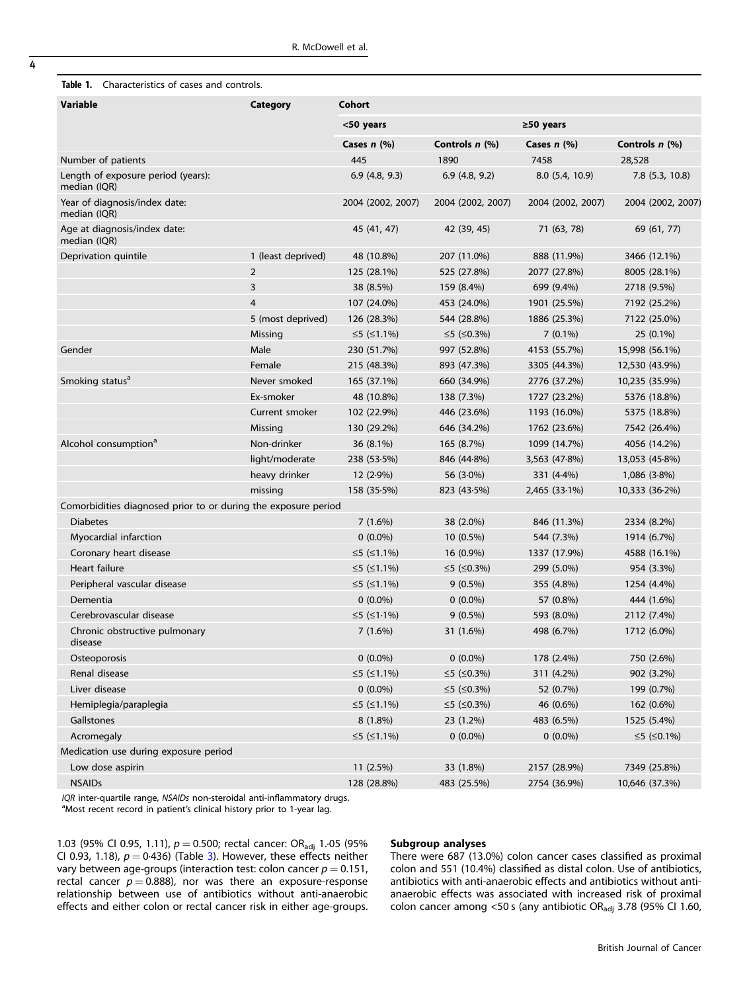<span id="page-3-0"></span>

| <b>Table 1.</b> Characteristics of cases and controls. |  |
|--------------------------------------------------------|--|
|                                                        |  |

| <b>Variable</b>                                                | Category           | Cohort            |                   |                         |                   |
|----------------------------------------------------------------|--------------------|-------------------|-------------------|-------------------------|-------------------|
|                                                                |                    | <50 years         |                   | $\geq$ 50 years         |                   |
|                                                                |                    | Cases $n$ (%)     | Controls n (%)    | Cases $n$ (%)           | Controls n (%)    |
| Number of patients                                             |                    | 445               | 1890              | 7458                    | 28,528            |
| Length of exposure period (years):<br>median (IQR)             |                    | 6.9(4.8, 9.3)     | 6.9(4.8, 9.2)     | 8.0 (5.4, 10.9)         | $7.8$ (5.3, 10.8) |
| Year of diagnosis/index date:<br>median (IQR)                  |                    | 2004 (2002, 2007) | 2004 (2002, 2007) | 2004 (2002, 2007)       | 2004 (2002, 2007) |
| Age at diagnosis/index date:<br>median (IQR)                   |                    | 45 (41, 47)       | 42 (39, 45)       | 71 (63, 78)             | 69 (61, 77)       |
| Deprivation quintile                                           | 1 (least deprived) | 48 (10.8%)        | 207 (11.0%)       | 888 (11.9%)             | 3466 (12.1%)      |
|                                                                | $\overline{2}$     | 125 (28.1%)       | 525 (27.8%)       | 2077 (27.8%)            | 8005 (28.1%)      |
|                                                                | 3                  | 38 (8.5%)         | 159 (8.4%)        | 699 (9.4%)              | 2718 (9.5%)       |
|                                                                | 4                  | 107 (24.0%)       | 453 (24.0%)       | 1901 (25.5%)            | 7192 (25.2%)      |
|                                                                | 5 (most deprived)  | 126 (28.3%)       | 544 (28.8%)       | 1886 (25.3%)            | 7122 (25.0%)      |
|                                                                | Missing            | ≤5 (≤1.1%)        | ≤5 (≤0.3%)        | $7(0.1\%)$              | 25 (0.1%)         |
| Gender                                                         | Male               | 230 (51.7%)       | 997 (52.8%)       | 4153 (55.7%)            | 15,998 (56.1%)    |
|                                                                | Female             | 215 (48.3%)       | 893 (47.3%)       | 3305 (44.3%)            | 12,530 (43.9%)    |
| Smoking status <sup>a</sup>                                    | Never smoked       | 165 (37.1%)       | 660 (34.9%)       | 2776 (37.2%)            | 10,235 (35.9%)    |
|                                                                | Ex-smoker          | 48 (10.8%)        | 138 (7.3%)        | 1727 (23.2%)            | 5376 (18.8%)      |
|                                                                | Current smoker     | 102 (22.9%)       | 446 (23.6%)       | 1193 (16.0%)            | 5375 (18.8%)      |
|                                                                | Missing            | 130 (29.2%)       | 646 (34.2%)       | 1762 (23.6%)            | 7542 (26.4%)      |
| Alcohol consumption <sup>a</sup>                               | Non-drinker        | 36 (8.1%)         | 165 (8.7%)        | 1099 (14.7%)            | 4056 (14.2%)      |
|                                                                | light/moderate     | $238(53.5\%)$     | 846 (44.8%)       | $3,563$ (47 $\cdot$ 8%) | 13,053 (45.8%)    |
|                                                                | heavy drinker      | $12(2.9\%)$       | 56 $(3.0\%)$      | 331 (4.4%)              | $1,086$ (3.8%)    |
|                                                                | missing            | $158(35.5\%)$     | 823 (43.5%)       | 2,465 (33.1%)           | 10,333 (36.2%)    |
| Comorbidities diagnosed prior to or during the exposure period |                    |                   |                   |                         |                   |
| <b>Diabetes</b>                                                |                    | 7(1.6%)           | 38 (2.0%)         | 846 (11.3%)             | 2334 (8.2%)       |
| Myocardial infarction                                          |                    | $0(0.0\%)$        | 10 (0.5%)         | 544 (7.3%)              | 1914 (6.7%)       |
| Coronary heart disease                                         |                    | ≤5 (≤1.1%)        | 16 (0.9%)         | 1337 (17.9%)            | 4588 (16.1%)      |
| Heart failure                                                  |                    | ≤5 (≤1.1%)        | ≤5 (≤0.3%)        | 299 (5.0%)              | 954 (3.3%)        |
| Peripheral vascular disease                                    |                    | ≤5 (≤1.1%)        | $9(0.5\%)$        | 355 (4.8%)              | 1254 (4.4%)       |
| Dementia                                                       |                    | $0(0.0\%)$        | $0(0.0\%)$        | 57 (0.8%)               | 444 (1.6%)        |
| Cerebrovascular disease                                        |                    | ≤5 (≤1.1%)        | $9(0.5\%)$        | 593 (8.0%)              | 2112 (7.4%)       |
| Chronic obstructive pulmonary<br>disease                       |                    | 7(1.6%)           | 31 (1.6%)         | 498 (6.7%)              | 1712 (6.0%)       |
| Osteoporosis                                                   |                    | $0(0.0\%)$        | $0(0.0\%)$        | 178 (2.4%)              | 750 (2.6%)        |
| Renal disease                                                  |                    | ≤5 (≤1.1%)        | ≤5 (≤0.3%)        | 311 (4.2%)              | 902 (3.2%)        |
| Liver disease                                                  |                    | $0(0.0\%)$        | ≤5 (≤0.3%)        | 52 (0.7%)               | 199 (0.7%)        |
| Hemiplegia/paraplegia                                          |                    | ≤5 (≤1.1%)        | ≤5 (≤0.3%)        | 46 (0.6%)               | 162 (0.6%)        |
| Gallstones                                                     |                    | $8(1.8\%)$        | 23 (1.2%)         | 483 (6.5%)              | 1525 (5.4%)       |
| Acromegaly                                                     |                    | ≤5 (≤1.1%)        | $0(0.0\%)$        | $0(0.0\%)$              | ≤5 (≤0.1%)        |
| Medication use during exposure period                          |                    |                   |                   |                         |                   |
| Low dose aspirin                                               |                    | 11 (2.5%)         | 33 (1.8%)         | 2157 (28.9%)            | 7349 (25.8%)      |
| <b>NSAIDs</b>                                                  |                    | 128 (28.8%)       | 483 (25.5%)       | 2754 (36.9%)            | 10,646 (37.3%)    |

 $IQR$  inter-quartile range,  $NSAIDs$  non-steroidal anti-inflammatory drugs.

<sup>a</sup>Most recent record in patient's clinical history prior to 1-year lag.

1.03 (95% CI 0.95, 1.11),  $p = 0.500$ ; rectal cancer: OR<sub>adj</sub> 1.05 (95%) CI 0.9[3](#page-5-0), 1.18),  $p = 0.436$  (Table 3). However, these effects neither vary between age-groups (interaction test: colon cancer  $p = 0.151$ , rectal cancer  $p = 0.888$ ), nor was there an exposure-response relationship between use of antibiotics without anti-anaerobic effects and either colon or rectal cancer risk in either age-groups.

# Subgroup analyses

There were 687 (13.0%) colon cancer cases classified as proximal colon and 551 (10.4%) classified as distal colon. Use of antibiotics, antibiotics with anti-anaerobic effects and antibiotics without antianaerobic effects was associated with increased risk of proximal colon cancer among <50 s (any antibiotic OR $_{\text{adj}}$  3.78 (95% CI 1.60,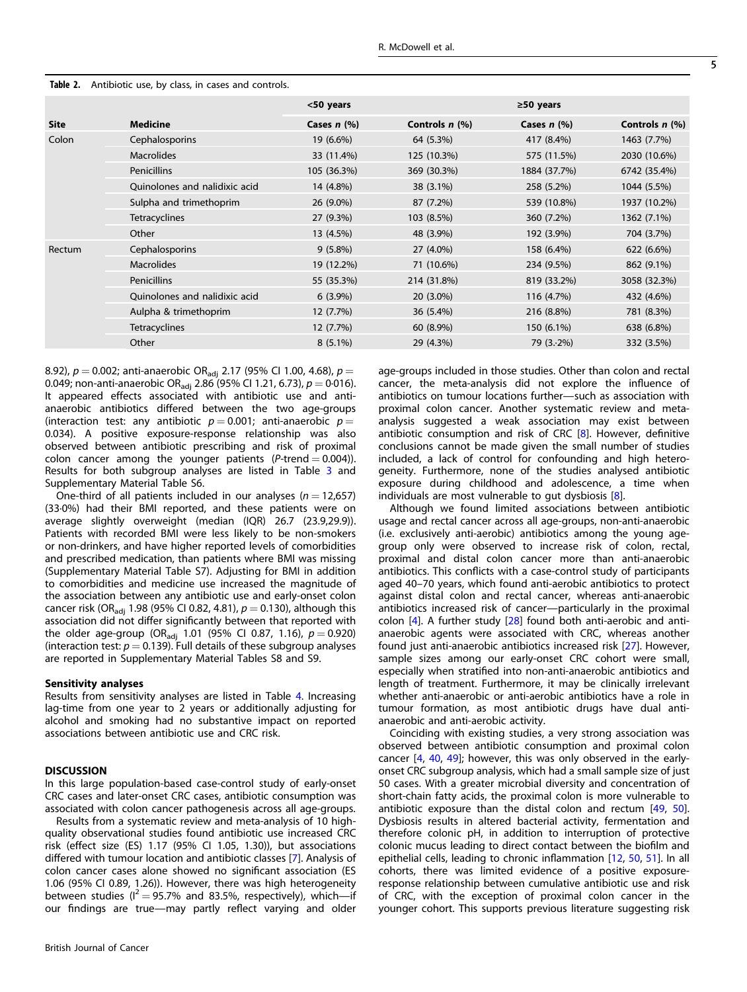|             |                               | <50 years     |                  | $\geq$ 50 years |                  |
|-------------|-------------------------------|---------------|------------------|-----------------|------------------|
| <b>Site</b> | <b>Medicine</b>               | Cases $n$ (%) | Controls $n$ (%) | Cases $n$ (%)   | Controls $n$ (%) |
| Colon       | Cephalosporins                | 19 (6.6%)     | 64 (5.3%)        | 417 (8.4%)      | 1463 (7.7%)      |
|             | <b>Macrolides</b>             | 33 (11.4%)    | 125 (10.3%)      | 575 (11.5%)     | 2030 (10.6%)     |
|             | <b>Penicillins</b>            | 105 (36.3%)   | 369 (30.3%)      | 1884 (37.7%)    | 6742 (35.4%)     |
|             | Ouinolones and nalidixic acid | 14 (4.8%)     | 38 (3.1%)        | 258 (5.2%)      | 1044 (5.5%)      |
|             | Sulpha and trimethoprim       | 26 (9.0%)     | 87 (7.2%)        | 539 (10.8%)     | 1937 (10.2%)     |
|             | <b>Tetracyclines</b>          | 27 (9.3%)     | 103 (8.5%)       | 360 (7.2%)      | 1362 (7.1%)      |
|             | Other                         | 13 (4.5%)     | 48 (3.9%)        | 192 (3.9%)      | 704 (3.7%)       |
| Rectum      | Cephalosporins                | $9(5.8\%)$    | 27 (4.0%)        | 158 (6.4%)      | 622 (6.6%)       |
|             | <b>Macrolides</b>             | 19 (12.2%)    | 71 (10.6%)       | 234 (9.5%)      | 862 (9.1%)       |
|             | <b>Penicillins</b>            | 55 (35.3%)    | 214 (31.8%)      | 819 (33.2%)     | 3058 (32.3%)     |
|             | Quinolones and nalidixic acid | $6(3.9\%)$    | $20(3.0\%)$      | 116 (4.7%)      | 432 (4.6%)       |
|             | Aulpha & trimethoprim         | 12 (7.7%)     | 36 (5.4%)        | 216 (8.8%)      | 781 (8.3%)       |
|             | <b>Tetracyclines</b>          | 12 (7.7%)     | 60 (8.9%)        | 150 (6.1%)      | 638 (6.8%)       |
|             | Other                         | $8(5.1\%)$    | 29 (4.3%)        | $79(3.2\%)$     | 332 (3.5%)       |

## <span id="page-4-0"></span>Table 2. Antibiotic use, by class, in cases and controls.

8.92),  $p = 0.002$ ; anti-anaerobic OR<sub>adj</sub> 2.17 (95% CI 1.00, 4.68),  $p =$ 0.049; non-anti-anaerobic OR<sub>adj</sub> 2.86 (95% CI 1.21, 6.73),  $p = 0.016$ ). It appeared effects associated with antibiotic use and antianaerobic antibiotics differed between the two age-groups (interaction test: any antibiotic  $p = 0.001$ ; anti-anaerobic  $p =$ 0.034). A positive exposure-response relationship was also observed between antibiotic prescribing and risk of proximal colon cancer among the younger patients  $(P\text{-trend} = 0.004)$ ). Results for both subgroup analyses are listed in Table [3](#page-5-0) and Supplementary Material Table S6.

One-third of all patients included in our analyses ( $n = 12,657$ ) (33·0%) had their BMI reported, and these patients were on average slightly overweight (median (IQR) 26.7 (23.9,29.9)). Patients with recorded BMI were less likely to be non-smokers or non-drinkers, and have higher reported levels of comorbidities and prescribed medication, than patients where BMI was missing (Supplementary Material Table S7). Adjusting for BMI in addition to comorbidities and medicine use increased the magnitude of the association between any antibiotic use and early-onset colon cancer risk (OR<sub>adj</sub> 1.98 (95% CI 0.82, 4.81),  $p = 0.130$ ), although this association did not differ significantly between that reported with the older age-group (OR<sub>adi</sub> 1.01 (95% CI 0.87, 1.16),  $p = 0.920$ ) (interaction test:  $p = 0.139$ ). Full details of these subgroup analyses are reported in Supplementary Material Tables S8 and S9.

## Sensitivity analyses

Results from sensitivity analyses are listed in Table [4](#page-7-0). Increasing lag-time from one year to 2 years or additionally adjusting for alcohol and smoking had no substantive impact on reported associations between antibiotic use and CRC risk.

# **DISCUSSION**

In this large population-based case-control study of early-onset CRC cases and later-onset CRC cases, antibiotic consumption was associated with colon cancer pathogenesis across all age-groups.

Results from a systematic review and meta-analysis of 10 highquality observational studies found antibiotic use increased CRC risk (effect size (ES) 1.17 (95% CI 1.05, 1.30)), but associations differed with tumour location and antibiotic classes [[7](#page-9-0)]. Analysis of colon cancer cases alone showed no significant association (ES 1.06 (95% CI 0.89, 1.26)). However, there was high heterogeneity between studies ( $I^2 = 95.7\%$  and 83.5%, respectively), which—if our findings are true—may partly reflect varying and older age-groups included in those studies. Other than colon and rectal cancer, the meta-analysis did not explore the influence of antibiotics on tumour locations further—such as association with proximal colon cancer. Another systematic review and metaanalysis suggested a weak association may exist between antibiotic consumption and risk of CRC [[8](#page-9-0)]. However, definitive conclusions cannot be made given the small number of studies included, a lack of control for confounding and high heterogeneity. Furthermore, none of the studies analysed antibiotic exposure during childhood and adolescence, a time when individuals are most vulnerable to gut dysbiosis [[8](#page-9-0)].

Although we found limited associations between antibiotic usage and rectal cancer across all age-groups, non-anti-anaerobic (i.e. exclusively anti-aerobic) antibiotics among the young agegroup only were observed to increase risk of colon, rectal, proximal and distal colon cancer more than anti-anaerobic antibiotics. This conflicts with a case-control study of participants aged 40–70 years, which found anti-aerobic antibiotics to protect against distal colon and rectal cancer, whereas anti-anaerobic antibiotics increased risk of cancer—particularly in the proximal colon [[4](#page-8-0)]. A further study [\[28](#page-9-0)] found both anti-aerobic and antianaerobic agents were associated with CRC, whereas another found just anti-anaerobic antibiotics increased risk [[27\]](#page-9-0). However, sample sizes among our early-onset CRC cohort were small, especially when stratified into non-anti-anaerobic antibiotics and length of treatment. Furthermore, it may be clinically irrelevant whether anti-anaerobic or anti-aerobic antibiotics have a role in tumour formation, as most antibiotic drugs have dual antianaerobic and anti-aerobic activity.

Coinciding with existing studies, a very strong association was observed between antibiotic consumption and proximal colon cancer [\[4](#page-8-0), [40](#page-9-0), [49\]](#page-9-0); however, this was only observed in the earlyonset CRC subgroup analysis, which had a small sample size of just 50 cases. With a greater microbial diversity and concentration of short-chain fatty acids, the proximal colon is more vulnerable to antibiotic exposure than the distal colon and rectum [\[49](#page-9-0), [50\]](#page-9-0). Dysbiosis results in altered bacterial activity, fermentation and therefore colonic pH, in addition to interruption of protective colonic mucus leading to direct contact between the biofilm and epithelial cells, leading to chronic inflammation [[12,](#page-9-0) [50,](#page-9-0) [51](#page-9-0)]. In all cohorts, there was limited evidence of a positive exposureresponse relationship between cumulative antibiotic use and risk of CRC, with the exception of proximal colon cancer in the younger cohort. This supports previous literature suggesting risk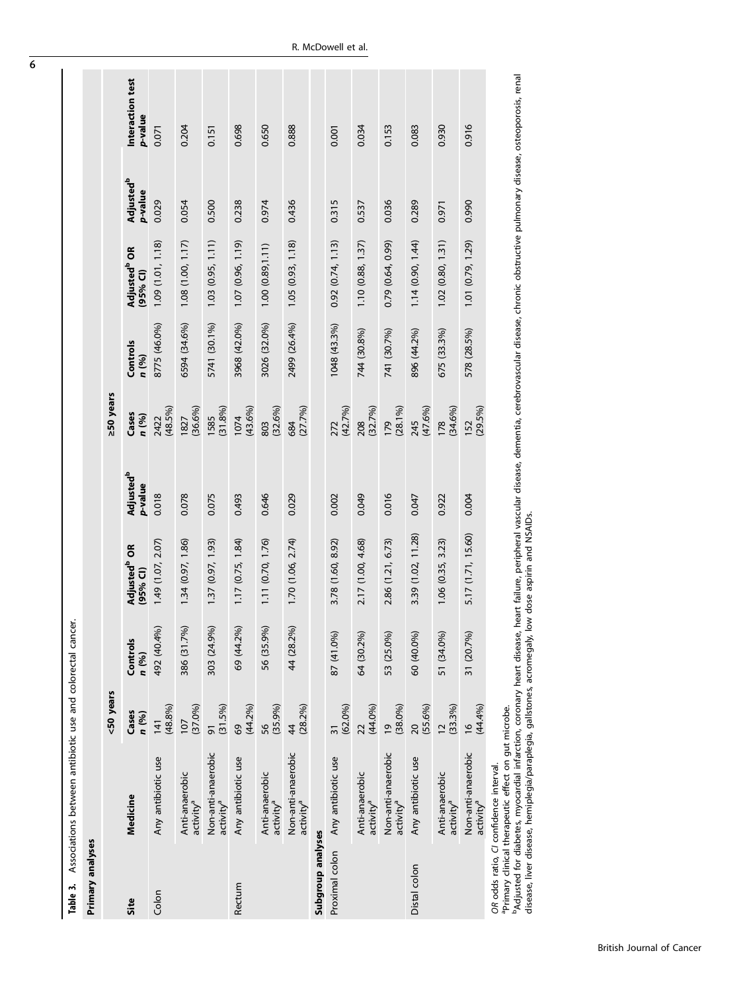| Primary analyses  |                                                                                              |                              |                   |                                      |                                        |                    |                   |                                      |                                        |                             |
|-------------------|----------------------------------------------------------------------------------------------|------------------------------|-------------------|--------------------------------------|----------------------------------------|--------------------|-------------------|--------------------------------------|----------------------------------------|-----------------------------|
|                   |                                                                                              | <50 years                    |                   |                                      |                                        | ≥50 years          |                   |                                      |                                        |                             |
| Site              | Medicine                                                                                     | Cases<br>n (%)               | Controls<br>n (%) | Adjusted <sup>b</sup> OR<br>(95% CI) | <b>Adjusted<sup>b</sup></b><br>p-value | Cases<br>n (%)     | Controls<br>n (%) | Adjusted <sup>b</sup> OR<br>(95% Cl) | <b>Adjusted<sup>b</sup></b><br>p-value | Interaction test<br>p-value |
| Colon             | Any antibiotic use                                                                           | (48.8%)<br>$\frac{1}{4}$     | 492 (40.4%)       | 1.49 (1.07, 2.07)                    | 0.018                                  | 2422<br>(48.5%)    | 8775 (46.0%)      | 1.09 (1.01, 1.18)                    | 0.029                                  | 0.071                       |
|                   | Anti-anaerobic<br>activity <sup>a</sup>                                                      | (37.0%)<br>107               | 386 (31.7%)       | 1.34 (0.97, 1.86)                    | 0.078                                  | $(36.6\%)$<br>1827 | 6594 (34.6%)      | 1.08(1.00, 1.17)                     | 0.054                                  | 0.204                       |
|                   | Non-anti-anaerobic<br>activity <sup>a</sup>                                                  | (31.5%)<br>5                 | 303 (24.9%)       | 1.37 (0.97, 1.93)                    | 0.075                                  | (31.8%)<br>1585    | 5741 (30.1%)      | $1.03$ $(0.95, 1.11)$                | 0.500                                  | 0.151                       |
| Rectum            | Any antibiotic use                                                                           | (44.2%)<br>69                | 69 (44.2%)        | 1.17(0.75, 1.84)                     | 0.493                                  | $(43.6\%)$<br>1074 | 3968 (42.0%)      | 1.07(0.96, 1.19)                     | 0.238                                  | 0.698                       |
|                   | Anti-anaerobic<br>activity <sup>a</sup>                                                      | (35.9%)<br>56                | 56 (35.9%)        | 1.11 (0.70, 1.76)                    | 0.646                                  | $(32.6\%)$<br>803  | 3026 (32.0%)      | 1.00(0.89, 1.11)                     | 0.974                                  | 0.650                       |
|                   | Non-anti-anaerobic<br>activity <sup>a</sup>                                                  | $(28.2\%)$<br>$\frac{4}{3}$  | 44 (28.2%)        | 1.70(1.06, 2.74)                     | 0.029                                  | (27.7%)<br>684     | 2499 (26.4%)      | 1.05(0.93, 1.18)                     | 0.436                                  | 0.888                       |
| Subgroup analyses |                                                                                              |                              |                   |                                      |                                        |                    |                   |                                      |                                        |                             |
| Proximal colon    | Any antibiotic use                                                                           | (62.0%<br>$\overline{31}$    | 87 (41.0%)        | 3.78 (1.60, 8.92)                    | 0.002                                  | (42.7%)<br>272     | 1048 (43.3%)      | 0.92(0.74, 1.13)                     | 0.315                                  | 0.001                       |
|                   | Anti-anaerobic<br>activity <sup>a</sup>                                                      | (44.0%<br>22                 | 64 (30.2%)        | 2.17 (1.00, 4.68)                    | 0.049                                  | (32.7%)<br>208     | 744 (30.8%)       | 1.10 (0.88, 1.37)                    | 0.537                                  | 0.034                       |
|                   | Non-anti-anaerobic<br>activity <sup>a</sup>                                                  | $(38.0\%)$<br>$\overline{6}$ | 53 (25.0%)        | 2.86 (1.21, 6.73)                    | 0.016                                  | $(28.1\%)$<br>179  | 741 (30.7%)       | 0.79 (0.64, 0.99)                    | 0.036                                  | 0.153                       |
| Distal colon      | Any antibiotic use                                                                           | $(55.6\%)$<br>$\overline{c}$ | 60 (40.0%)        | 3.39 (1.02, 11.28)                   | 0.047                                  | (47.6%)<br>245     | 896 (44.2%)       | 1.14(0.90, 1.44)                     | 0.289                                  | 0.083                       |
|                   | Anti-anaerobic<br>activity <sup>a</sup>                                                      | $(33.3\%)$<br>$\overline{c}$ | 51 (34.0%)        | 1.06(0.35, 3.23)                     | 0.922                                  | $(34.6\%)$<br>178  | 675 (33.3%)       | 1.02(0.80, 1.31)                     | 0.971                                  | 0.930                       |
|                   | Non-anti-anaerobic<br>activity <sup>a</sup>                                                  | (44.4%<br>$\frac{9}{2}$      | 31 (20.7%)        | 5.17 (1.71, 15.60)                   | 0.004                                  | $(29.5\%)$<br>152  | 578 (28.5%)       | 1.01 (0.79, 1.29)                    | 0.990                                  | 0.916                       |
|                   | edination distinct that is a that as the mainstace<br>OR odds ratio, CI confidence interval. |                              |                   |                                      |                                        |                    |                   |                                      |                                        |                             |

OR odds ratio, Cl confidence interval.<br><sup>a</sup>Primary clinical therapeutic effect on gut microbe.<br><sup>b</sup>Adjusted for diabetes, myocardial infarction, coronary heart disease, heart failure, peripheral vascular disease, dementia, c Adjusted for diabetes, myocardial infarction, coronary heart disease, heart failure, peripheral vascular disease, dementia, cerebrovascular disease, chronic obstructive pulmonary disease, osteoporosis, renal disease, liver disease, hemiplegia/paraplegia, gallstones, acromegaly, low dose aspirin and NSAIDs. aPrimary clinical therapeutic effect on gut microbe.

<span id="page-5-0"></span>6

Table 3. Associations between antibiotic use and colorectal cancer.

Table 3. Associations between antibiotic use and colorectal cancer.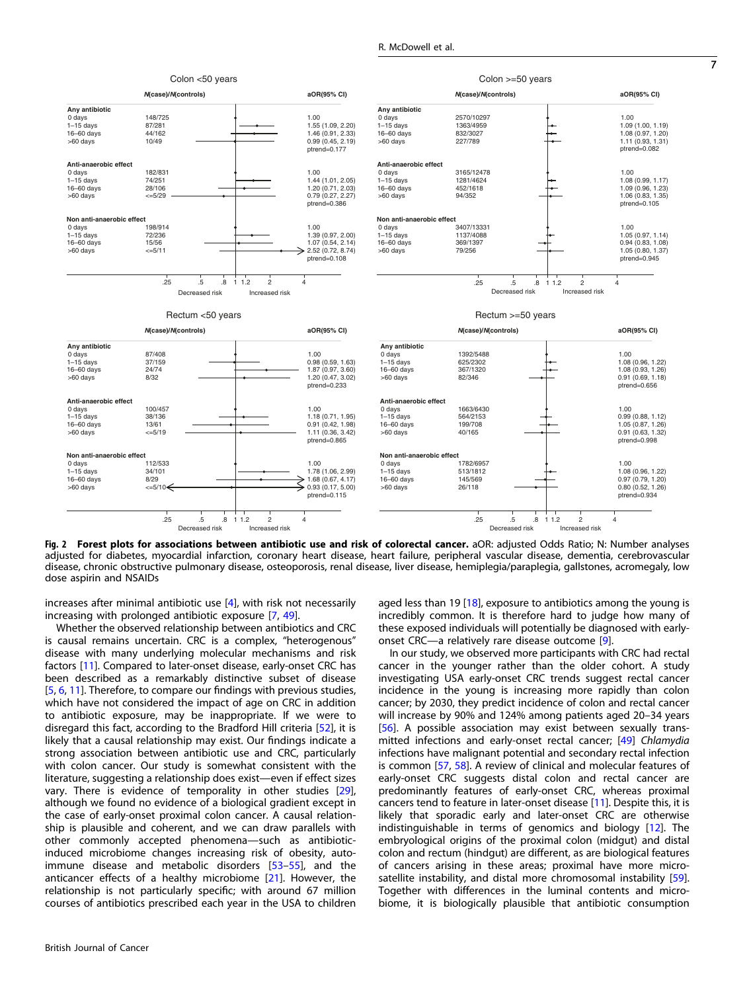<span id="page-6-0"></span>

Fig. 2 Forest plots for associations between antibiotic use and risk of colorectal cancer. aOR: adjusted Odds Ratio; N: Number analyses adjusted for diabetes, myocardial infarction, coronary heart disease, heart failure, peripheral vascular disease, dementia, cerebrovascular disease, chronic obstructive pulmonary disease, osteoporosis, renal disease, liver disease, hemiplegia/paraplegia, gallstones, acromegaly, low dose aspirin and NSAIDs

increases after minimal antibiotic use [[4](#page-8-0)], with risk not necessarily increasing with prolonged antibiotic exposure [\[7](#page-9-0), [49\]](#page-9-0).

Whether the observed relationship between antibiotics and CRC is causal remains uncertain. CRC is a complex, "heterogenous" disease with many underlying molecular mechanisms and risk factors [\[11](#page-9-0)]. Compared to later-onset disease, early-onset CRC has been described as a remarkably distinctive subset of disease [\[5,](#page-8-0) [6](#page-8-0), [11\]](#page-9-0). Therefore, to compare our findings with previous studies, which have not considered the impact of age on CRC in addition to antibiotic exposure, may be inappropriate. If we were to disregard this fact, according to the Bradford Hill criteria [\[52\]](#page-9-0), it is likely that a causal relationship may exist. Our findings indicate a strong association between antibiotic use and CRC, particularly with colon cancer. Our study is somewhat consistent with the literature, suggesting a relationship does exist—even if effect sizes vary. There is evidence of temporality in other studies [\[29\]](#page-9-0), although we found no evidence of a biological gradient except in the case of early-onset proximal colon cancer. A causal relationship is plausible and coherent, and we can draw parallels with other commonly accepted phenomena—such as antibioticinduced microbiome changes increasing risk of obesity, autoimmune disease and metabolic disorders [[53](#page-9-0)–[55\]](#page-9-0), and the anticancer effects of a healthy microbiome [[21](#page-9-0)]. However, the relationship is not particularly specific; with around 67 million courses of antibiotics prescribed each year in the USA to children

British Journal of Cancer

aged less than 19  $[18]$  $[18]$  $[18]$ , exposure to antibiotics among the young is incredibly common. It is therefore hard to judge how many of these exposed individuals will potentially be diagnosed with earlyonset CRC—a relatively rare disease outcome [[9](#page-9-0)].

In our study, we observed more participants with CRC had rectal cancer in the younger rather than the older cohort. A study investigating USA early-onset CRC trends suggest rectal cancer incidence in the young is increasing more rapidly than colon cancer; by 2030, they predict incidence of colon and rectal cancer will increase by 90% and 124% among patients aged 20–34 years [\[56\]](#page-9-0). A possible association may exist between sexually trans-mitted infections and early-onset rectal cancer; [\[49](#page-9-0)] Chlamydia infections have malignant potential and secondary rectal infection is common [\[57](#page-9-0), [58\]](#page-9-0). A review of clinical and molecular features of early-onset CRC suggests distal colon and rectal cancer are predominantly features of early-onset CRC, whereas proximal cancers tend to feature in later-onset disease [[11\]](#page-9-0). Despite this, it is likely that sporadic early and later-onset CRC are otherwise indistinguishable in terms of genomics and biology [[12\]](#page-9-0). The embryological origins of the proximal colon (midgut) and distal colon and rectum (hindgut) are different, as are biological features of cancers arising in these areas; proximal have more micro-satellite instability, and distal more chromosomal instability [\[59\]](#page-10-0). Together with differences in the luminal contents and microbiome, it is biologically plausible that antibiotic consumption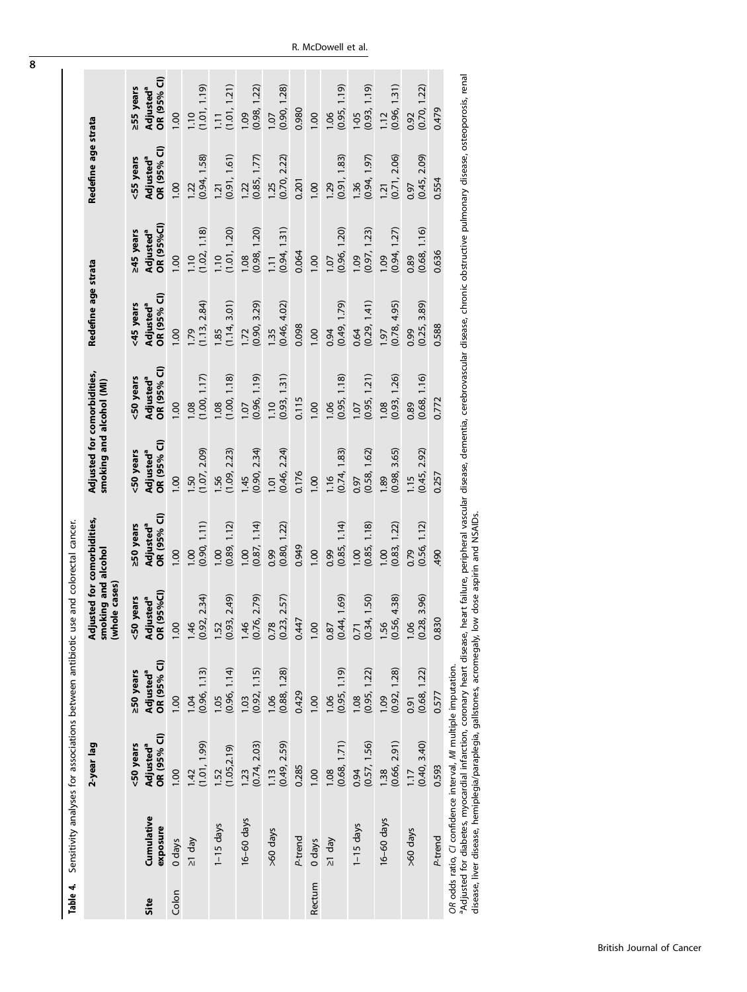| Table 4. | Sensitivity analyses for associations between antibiotic use and colorectal cancer.                                                                                                                                                                                                 |                                                   |                                                   |                                                                     |                                                                |                                                         |                                                   |                                                   |                                                         |                                                   |                                                   |
|----------|-------------------------------------------------------------------------------------------------------------------------------------------------------------------------------------------------------------------------------------------------------------------------------------|---------------------------------------------------|---------------------------------------------------|---------------------------------------------------------------------|----------------------------------------------------------------|---------------------------------------------------------|---------------------------------------------------|---------------------------------------------------|---------------------------------------------------------|---------------------------------------------------|---------------------------------------------------|
|          |                                                                                                                                                                                                                                                                                     | 2-year lag                                        |                                                   | Adjusted for comorbidities,<br>smoking and alcohol<br>(whole cases) |                                                                | Adjusted for comorbidities,<br>smoking and alcohol (MI) |                                                   | Redefine age strata                               |                                                         | Redefine age strata                               |                                                   |
| Site     | Cumulative<br>exposure                                                                                                                                                                                                                                                              | OR (95% CI)<br><50 years<br>Adjusted <sup>a</sup> | OR (95% CI)<br>≥50 years<br>Adjusted <sup>a</sup> | (95%C)<br>years<br>Adjusted <sup>a</sup><br>OR (95%Cl)<br>50        | OR (95% CI)<br><b>250 years</b><br><b>Adjusted<sup>a</sup></b> | OR (95% CI)<br><50 years<br>Adjusted <sup>a</sup>       | OR (95% CI)<br><50 years<br>Adjusted <sup>a</sup> | OR (95% CI)<br><45 years<br>Adjusted <sup>a</sup> | <b>OR (95%CI)</b><br>245 years<br>Adjusted <sup>a</sup> | OR (95% CI)<br><55 years<br>Adjusted <sup>a</sup> | OR (95% CI)<br>255 years<br>Adjusted <sup>a</sup> |
| Colon    | $0$ days                                                                                                                                                                                                                                                                            | 00.1                                              | 00.1                                              | $rac{1}{2}$                                                         | 00.1                                                           | 00.1                                                    | 00.1                                              | 00.1                                              | 00.1                                                    | 00.1                                              | 00.1                                              |
|          | $\leq 1$ day                                                                                                                                                                                                                                                                        | (1.01, 1.99)<br>1.42                              | (0.96, 1.13)<br>104                               | (0.92, 2.34)<br>$-1.46$                                             | (0.90, 1.11)<br>1.00                                           | (1.07, 2.09)<br>$-50$                                   | (1.00, 1.17)<br>1.08                              | (1.13, 2.84)<br>1.79                              | (1.02, 1.18)<br>1.10                                    | (0.94, 1.58)<br>1.22                              | (1.01, 1.19)<br>1.10                              |
|          | $1-15$ days                                                                                                                                                                                                                                                                         | (1.05, 2.19)<br>1.52                              | (0.96, 1.14)<br><b>1.05</b>                       | (0.93, 2.49)<br>1.52                                                | (0.89, 1.12)<br>1.00                                           | (1.09, 2.23)<br>$-56$                                   | (1.00, 1.18)<br>1.08                              | (1.14, 3.01)<br>1.85                              | (1.01, 1.20)<br>1.10                                    | (0.91, 1.61)<br>1.21                              | (1.01, 1.21)<br>$\overline{11}$                   |
|          | 16-60 days                                                                                                                                                                                                                                                                          | (0.74, 2.03)<br>1.23                              | (0.92, 1.15)<br>1.03                              | (0.76, 2.79)<br>$-1.46$                                             | (0.87, 1.14)<br>00.1                                           | (0.90, 2.34)<br>1.45                                    | (0.96, 1.19)<br>1.07                              | (0.90, 3.29)<br>1.72                              | (0.98, 1.20)<br>1.08                                    | (0.85, 1.77)<br>1.22                              | (0.98, 1.22)<br>1.09                              |
|          | >60 days                                                                                                                                                                                                                                                                            | (0.49, 2.59)<br>1.13                              | (0.88, 1.28)<br>1.06                              | (0.23, 2.57)<br>0.78                                                | (0.80, 1.22)<br>0.99                                           | (0.46, 2.24)<br>101                                     | (0.93, 1.31)<br>1.10                              | (0.46, 4.02)<br>1.35                              | (0.94, 1.31)<br>$\overline{11}$                         | (0.70, 2.22)<br>1.25                              | (0.90, 1.28)<br>1.07                              |
|          | P-trend                                                                                                                                                                                                                                                                             | 0.285                                             | 0.429                                             | 0.447                                                               | 0.949                                                          | 0.176                                                   | 0.115                                             | 0.098                                             | 0.064                                                   | 0.201                                             | 0.980                                             |
| Rectum   | 0 days                                                                                                                                                                                                                                                                              | 00.1                                              | 00.1                                              | 00.1                                                                | 1.00                                                           | 00.1                                                    | 00.1                                              | 0.001                                             | 1.00                                                    | 00.1                                              | 00.1                                              |
|          | $\leq 1$ day                                                                                                                                                                                                                                                                        | (0.68, 1.71)<br>1.08                              | (0.95, 1.19)<br>1.06                              | (0.44, 1.69)<br>0.87                                                | (0.85, 1.14)<br>0.99                                           | (0.74, 1.83)<br>1.16                                    | (0.95, 1.18)<br>1.06                              | (0.49, 1.79)<br>0.94                              | (0.96, 1.20)<br>1.07                                    | (0.91, 1.83)<br>1.29                              | (0.95, 1.19)<br>1.06                              |
|          | $1 - 15$ days                                                                                                                                                                                                                                                                       | (0.57, 1.56)<br>0.94                              | (0.95, 1.22)<br>1.08                              | (0.34, 1.50)<br>0.71                                                | (0.85, 1.18)<br>00.1                                           | (0.58, 1.62)<br>0.97                                    | (0.95, 1.21)<br>1.07                              | (0.29, 1.41)<br>0.64                              | (0.97, 1.23)<br><b>PO.1</b>                             | (0.94, 1.97)<br>1.36                              | (0.93, 1.19)<br>1.05                              |
|          | 16-60 days                                                                                                                                                                                                                                                                          | (0.66, 2.91)<br>1.38                              | (0.92, 1.28)<br><b>1.09</b>                       | (0.56, 4.38)<br>1.56                                                | (0.83, 1.22)<br>00.1                                           | 3.65)<br>(0.98,<br>.89                                  | (0.93, 1.26)<br>1.08                              | (0.78, 4.95)<br>1.97                              | (0.94, 1.27)<br>1.09                                    | (0.71, 2.06)<br>1.21                              | (0.96, 1.31)<br>1.12                              |
|          | >60 days                                                                                                                                                                                                                                                                            | (0.40, 3.40)<br>$\overline{11}$                   | (0.68, 1.22)<br>0.91                              | (0.28, 3.96)<br>1.06                                                | (0.56, 1.12)<br>0.79                                           | (0.45, 2.92)<br>115                                     | (0.68, 1.16)<br>0.89                              | (0.25, 3.89)<br>0.99                              | (0.68, 1.16)<br>0.89                                    | (0.45, 2.09)<br>0.97                              | (0.70, 1.22)<br>0.92                              |
|          | P-trend                                                                                                                                                                                                                                                                             | 0.593                                             | 0.577                                             | 0.830                                                               | 490                                                            | 0.257                                                   | 0.772                                             | 0.588                                             | 0.636                                                   | 0.554                                             | 0.479                                             |
|          | a Adjusted for diabetes, myocardial infarction, coronary heart disease, heart failure, peripheral vascular disease, dementia, cerebrovascular disease, chronic obstructive pulmonary disease, osteoporosis, renal<br>OR odds ratio, CI confidence interval, MI multiple imputation. |                                                   |                                                   |                                                                     |                                                                |                                                         |                                                   |                                                   |                                                         |                                                   |                                                   |

Adjusted for diabetes, myocardial infarction, coronary heart disease, heart failure, peripheral vascular disease, dementia, cerebrovascular disease, chronic obstructive pulmonary disease, osteoporosis, renal "Aqjusted for diabetes, myocardiai inflaction, coronary heart disease, heart failure, peripheral vascu<br>disease, liver disease, hemiplegia/paraplegia, gallstones, acromegaly, low dose aspirin and NSAIDs. disease, liver disease, hemiplegia/paraplegia, gallstones, acromegaly, low dose aspirin and NSAIDs.

<span id="page-7-0"></span>8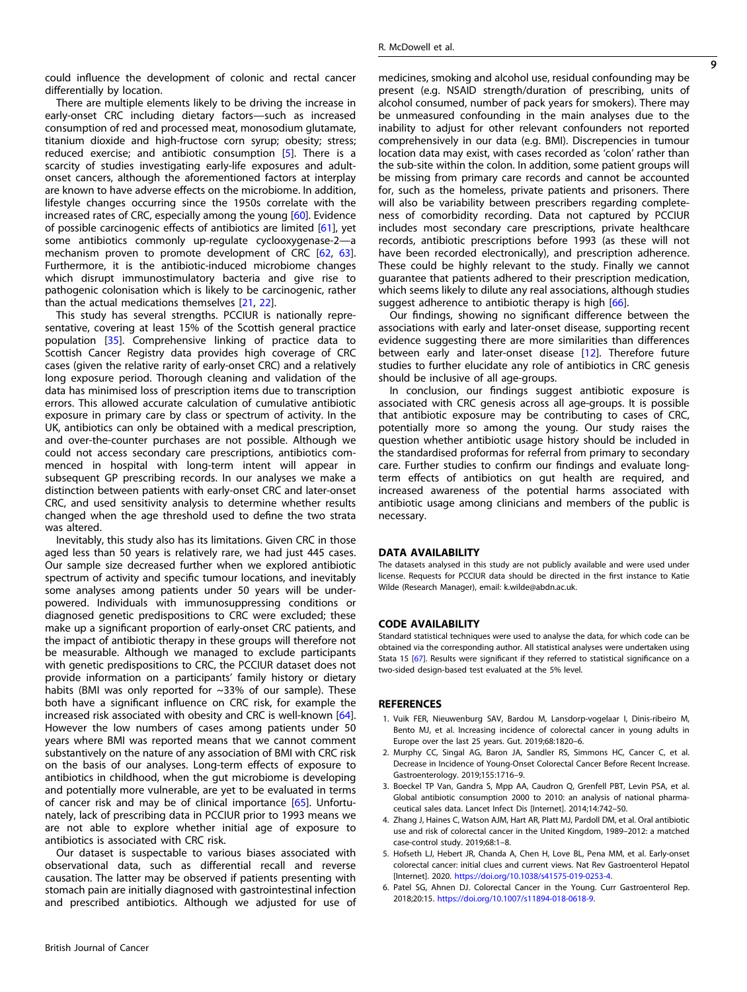<span id="page-8-0"></span>could influence the development of colonic and rectal cancer differentially by location.

There are multiple elements likely to be driving the increase in early-onset CRC including dietary factors—such as increased consumption of red and processed meat, monosodium glutamate, titanium dioxide and high-fructose corn syrup; obesity; stress; reduced exercise; and antibiotic consumption [5]. There is a scarcity of studies investigating early-life exposures and adultonset cancers, although the aforementioned factors at interplay are known to have adverse effects on the microbiome. In addition, lifestyle changes occurring since the 1950s correlate with the increased rates of CRC, especially among the young [\[60\]](#page-10-0). Evidence of possible carcinogenic effects of antibiotics are limited [[61](#page-10-0)], yet some antibiotics commonly up-regulate cyclooxygenase-2—a mechanism proven to promote development of CRC [[62,](#page-10-0) [63\]](#page-10-0). Furthermore, it is the antibiotic-induced microbiome changes which disrupt immunostimulatory bacteria and give rise to pathogenic colonisation which is likely to be carcinogenic, rather than the actual medications themselves [\[21](#page-9-0), [22](#page-9-0)].

This study has several strengths. PCCIUR is nationally representative, covering at least 15% of the Scottish general practice population [[35](#page-9-0)]. Comprehensive linking of practice data to Scottish Cancer Registry data provides high coverage of CRC cases (given the relative rarity of early-onset CRC) and a relatively long exposure period. Thorough cleaning and validation of the data has minimised loss of prescription items due to transcription errors. This allowed accurate calculation of cumulative antibiotic exposure in primary care by class or spectrum of activity. In the UK, antibiotics can only be obtained with a medical prescription, and over-the-counter purchases are not possible. Although we could not access secondary care prescriptions, antibiotics commenced in hospital with long-term intent will appear in subsequent GP prescribing records. In our analyses we make a distinction between patients with early-onset CRC and later-onset CRC, and used sensitivity analysis to determine whether results changed when the age threshold used to define the two strata was altered.

Inevitably, this study also has its limitations. Given CRC in those aged less than 50 years is relatively rare, we had just 445 cases. Our sample size decreased further when we explored antibiotic spectrum of activity and specific tumour locations, and inevitably some analyses among patients under 50 years will be underpowered. Individuals with immunosuppressing conditions or diagnosed genetic predispositions to CRC were excluded; these make up a significant proportion of early-onset CRC patients, and the impact of antibiotic therapy in these groups will therefore not be measurable. Although we managed to exclude participants with genetic predispositions to CRC, the PCCIUR dataset does not provide information on a participants' family history or dietary habits (BMI was only reported for ~33% of our sample). These both have a significant influence on CRC risk, for example the increased risk associated with obesity and CRC is well-known [\[64\]](#page-10-0). However the low numbers of cases among patients under 50 years where BMI was reported means that we cannot comment substantively on the nature of any association of BMI with CRC risk on the basis of our analyses. Long-term effects of exposure to antibiotics in childhood, when the gut microbiome is developing and potentially more vulnerable, are yet to be evaluated in terms of cancer risk and may be of clinical importance [[65](#page-10-0)]. Unfortunately, lack of prescribing data in PCCIUR prior to 1993 means we are not able to explore whether initial age of exposure to antibiotics is associated with CRC risk.

Our dataset is suspectable to various biases associated with observational data, such as differential recall and reverse causation. The latter may be observed if patients presenting with stomach pain are initially diagnosed with gastrointestinal infection and prescribed antibiotics. Although we adjusted for use of

British Journal of Cancer

medicines, smoking and alcohol use, residual confounding may be present (e.g. NSAID strength/duration of prescribing, units of alcohol consumed, number of pack years for smokers). There may be unmeasured confounding in the main analyses due to the inability to adjust for other relevant confounders not reported comprehensively in our data (e.g. BMI). Discrepencies in tumour location data may exist, with cases recorded as 'colon' rather than the sub-site within the colon. In addition, some patient groups will be missing from primary care records and cannot be accounted for, such as the homeless, private patients and prisoners. There will also be variability between prescribers regarding completeness of comorbidity recording. Data not captured by PCCIUR includes most secondary care prescriptions, private healthcare records, antibiotic prescriptions before 1993 (as these will not have been recorded electronically), and prescription adherence. These could be highly relevant to the study. Finally we cannot guarantee that patients adhered to their prescription medication, which seems likely to dilute any real associations, although studies suggest adherence to antibiotic therapy is high [\[66](#page-10-0)].

Our findings, showing no significant difference between the associations with early and later-onset disease, supporting recent evidence suggesting there are more similarities than differences between early and later-onset disease [\[12](#page-9-0)]. Therefore future studies to further elucidate any role of antibiotics in CRC genesis should be inclusive of all age-groups.

In conclusion, our findings suggest antibiotic exposure is associated with CRC genesis across all age-groups. It is possible that antibiotic exposure may be contributing to cases of CRC, potentially more so among the young. Our study raises the question whether antibiotic usage history should be included in the standardised proformas for referral from primary to secondary care. Further studies to confirm our findings and evaluate longterm effects of antibiotics on gut health are required, and increased awareness of the potential harms associated with antibiotic usage among clinicians and members of the public is necessary.

# DATA AVAILABILITY

The datasets analysed in this study are not publicly available and were used under license. Requests for PCCIUR data should be directed in the first instance to Katie Wilde (Research Manager), email: k.wilde@abdn.ac.uk.

# CODE AVAILABILITY

Standard statistical techniques were used to analyse the data, for which code can be obtained via the corresponding author. All statistical analyses were undertaken using Stata 15 [\[67\]](#page-10-0). Results were significant if they referred to statistical significance on a two-sided design-based test evaluated at the 5% level.

## **REFERENCES**

- 1. Vuik FER, Nieuwenburg SAV, Bardou M, Lansdorp-vogelaar I, Dinis-ribeiro M, Bento MJ, et al. Increasing incidence of colorectal cancer in young adults in Europe over the last 25 years. Gut. 2019;68:1820–6.
- 2. Murphy CC, Singal AG, Baron JA, Sandler RS, Simmons HC, Cancer C, et al. Decrease in Incidence of Young-Onset Colorectal Cancer Before Recent Increase. Gastroenterology. 2019;155:1716–9.
- 3. Boeckel TP Van, Gandra S, Mpp AA, Caudron Q, Grenfell PBT, Levin PSA, et al. Global antibiotic consumption 2000 to 2010: an analysis of national pharmaceutical sales data. Lancet Infect Dis [Internet]. 2014;14:742–50.
- 4. Zhang J, Haines C, Watson AJM, Hart AR, Platt MJ, Pardoll DM, et al. Oral antibiotic use and risk of colorectal cancer in the United Kingdom, 1989–2012: a matched case-control study. 2019;68:1–8.
- 5. Hofseth LJ, Hebert JR, Chanda A, Chen H, Love BL, Pena MM, et al. Early-onset colorectal cancer: initial clues and current views. Nat Rev Gastroenterol Hepatol [Internet]. 2020. <https://doi.org/10.1038/s41575-019-0253-4>.
- 6. Patel SG, Ahnen DJ. Colorectal Cancer in the Young. Curr Gastroenterol Rep. 2018;20:15. <https://doi.org/10.1007/s11894-018-0618-9>.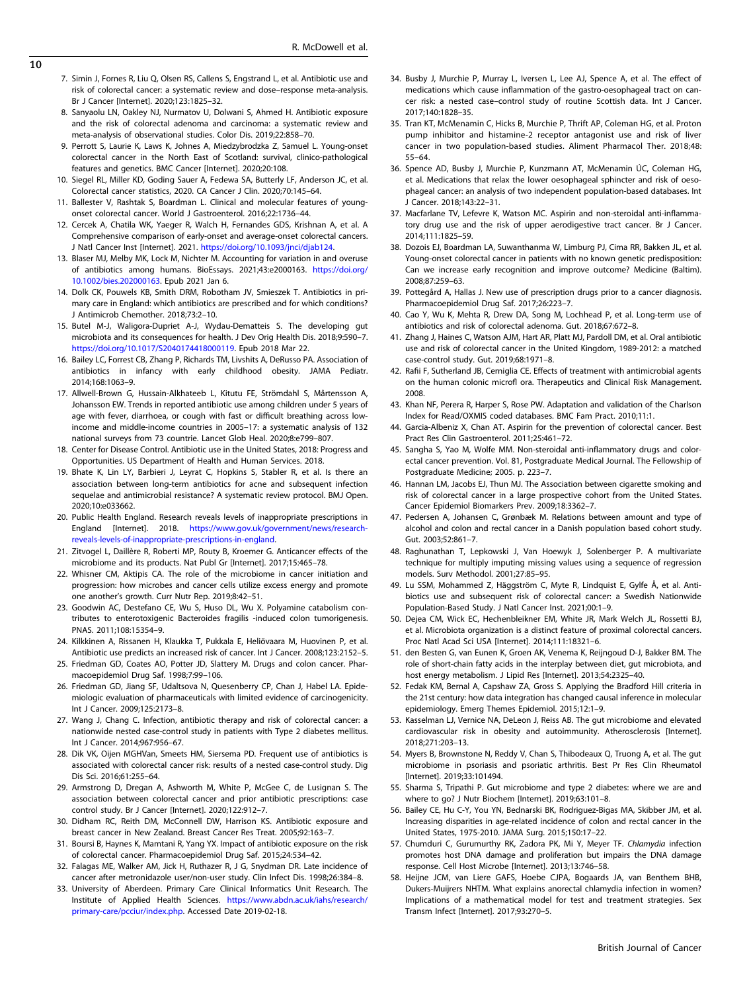- <span id="page-9-0"></span>7. Simin J, Fornes R, Liu Q, Olsen RS, Callens S, Engstrand L, et al. Antibiotic use and risk of colorectal cancer: a systematic review and dose–response meta-analysis. Br J Cancer [Internet]. 2020;123:1825–32.
- 8. Sanyaolu LN, Oakley NJ, Nurmatov U, Dolwani S, Ahmed H. Antibiotic exposure and the risk of colorectal adenoma and carcinoma: a systematic review and meta-analysis of observational studies. Color Dis. 2019;22:858–70.
- 9. Perrott S, Laurie K, Laws K, Johnes A, Miedzybrodzka Z, Samuel L. Young-onset colorectal cancer in the North East of Scotland: survival, clinico-pathological features and genetics. BMC Cancer [Internet]. 2020;20:108.
- 10. Siegel RL, Miller KD, Goding Sauer A, Fedewa SA, Butterly LF, Anderson JC, et al. Colorectal cancer statistics, 2020. CA Cancer J Clin. 2020;70:145–64.
- 11. Ballester V, Rashtak S, Boardman L. Clinical and molecular features of youngonset colorectal cancer. World J Gastroenterol. 2016;22:1736–44.
- 12. Cercek A, Chatila WK, Yaeger R, Walch H, Fernandes GDS, Krishnan A, et al. A Comprehensive comparison of early-onset and average-onset colorectal cancers. J Natl Cancer Inst [Internet]. 2021. <https://doi.org/10.1093/jnci/djab124>.
- 13. Blaser MJ, Melby MK, Lock M, Nichter M. Accounting for variation in and overuse of antibiotics among humans. BioEssays. 2021;43:e2000163. [https://doi.org/](https://doi.org/10.1002/bies.202000163) [10.1002/bies.202000163.](https://doi.org/10.1002/bies.202000163) Epub 2021 Jan 6.
- 14. Dolk CK, Pouwels KB, Smith DRM, Robotham JV, Smieszek T. Antibiotics in primary care in England: which antibiotics are prescribed and for which conditions? J Antimicrob Chemother. 2018;73:2–10.
- 15. Butel M-J, Waligora-Dupriet A-J, Wydau-Dematteis S. The developing gut microbiota and its consequences for health. J Dev Orig Health Dis. 2018;9:590–7. [https://doi.org/10.1017/S2040174418000119.](https://doi.org/10.1017/S2040174418000119) Epub 2018 Mar 22.
- 16. Bailey LC, Forrest CB, Zhang P, Richards TM, Livshits A, DeRusso PA. Association of antibiotics in infancy with early childhood obesity. JAMA Pediatr. 2014;168:1063–9.
- 17. Allwell-Brown G, Hussain-Alkhateeb L, Kitutu FE, Strömdahl S, Mårtensson A, Johansson EW. Trends in reported antibiotic use among children under 5 years of age with fever, diarrhoea, or cough with fast or difficult breathing across lowincome and middle-income countries in 2005–17: a systematic analysis of 132 national surveys from 73 countrie. Lancet Glob Heal. 2020;8:e799–807.
- 18. Center for Disease Control. Antibiotic use in the United States, 2018: Progress and Opportunities. US Department of Health and Human Services. 2018.
- 19. Bhate K, Lin LY, Barbieri J, Leyrat C, Hopkins S, Stabler R, et al. Is there an association between long-term antibiotics for acne and subsequent infection sequelae and antimicrobial resistance? A systematic review protocol. BMJ Open. 2020;10:e033662.
- 20. Public Health England. Research reveals levels of inappropriate prescriptions in England [Internet]. 2018. [https://www.gov.uk/government/news/research](https://www.gov.uk/government/news/research-reveals-levels-of-inappropriate-prescriptions-in-england)[reveals-levels-of-inappropriate-prescriptions-in-england](https://www.gov.uk/government/news/research-reveals-levels-of-inappropriate-prescriptions-in-england).
- 21. Zitvogel L, Daillère R, Roberti MP, Routy B, Kroemer G. Anticancer effects of the microbiome and its products. Nat Publ Gr [Internet]. 2017;15:465–78.
- 22. Whisner CM, Aktipis CA. The role of the microbiome in cancer initiation and progression: how microbes and cancer cells utilize excess energy and promote one another's growth. Curr Nutr Rep. 2019;8:42–51.
- 23. Goodwin AC, Destefano CE, Wu S, Huso DL, Wu X. Polyamine catabolism contributes to enterotoxigenic Bacteroides fragilis -induced colon tumorigenesis. PNAS. 2011;108:15354–9.
- 24. Kilkkinen A, Rissanen H, Klaukka T, Pukkala E, Heliövaara M, Huovinen P, et al. Antibiotic use predicts an increased risk of cancer. Int J Cancer. 2008;123:2152–5.
- 25. Friedman GD, Coates AO, Potter JD, Slattery M. Drugs and colon cancer. Pharmacoepidemiol Drug Saf. 1998;7:99–106.
- 26. Friedman GD, Jiang SF, Udaltsova N, Quesenberry CP, Chan J, Habel LA. Epidemiologic evaluation of pharmaceuticals with limited evidence of carcinogenicity. Int J Cancer. 2009;125:2173–8.
- 27. Wang J, Chang C. Infection, antibiotic therapy and risk of colorectal cancer: a nationwide nested case-control study in patients with Type 2 diabetes mellitus. Int J Cancer. 2014;967:956–67.
- 28. Dik VK, Oijen MGHVan, Smeets HM, Siersema PD. Frequent use of antibiotics is associated with colorectal cancer risk: results of a nested case-control study. Dig Dis Sci. 2016;61:255–64.
- 29. Armstrong D, Dregan A, Ashworth M, White P, McGee C, de Lusignan S. The association between colorectal cancer and prior antibiotic prescriptions: case control study. Br J Cancer [Internet]. 2020;122:912–7.
- 30. Didham RC, Reith DM, McConnell DW, Harrison KS. Antibiotic exposure and breast cancer in New Zealand. Breast Cancer Res Treat. 2005;92:163–7.
- 31. Boursi B, Haynes K, Mamtani R, Yang YX. Impact of antibiotic exposure on the risk of colorectal cancer. Pharmacoepidemiol Drug Saf. 2015;24:534–42.
- 32. Falagas ME, Walker AM, Jick H, Ruthazer R, J G, Snydman DR. Late incidence of cancer after metronidazole user/non-user study. Clin Infect Dis. 1998;26:384–8.
- 33. University of Aberdeen. Primary Care Clinical Informatics Unit Research. The Institute of Applied Health Sciences. [https://www.abdn.ac.uk/iahs/research/](https://www.abdn.ac.uk/iahs/research/primary-care/pcciur/index.php) [primary-care/pcciur/index.php.](https://www.abdn.ac.uk/iahs/research/primary-care/pcciur/index.php) Accessed Date 2019-02-18.
- 34. Busby J, Murchie P, Murray L, Iversen L, Lee AJ, Spence A, et al. The effect of medications which cause inflammation of the gastro-oesophageal tract on cancer risk: a nested case–control study of routine Scottish data. Int J Cancer. 2017;140:1828–35.
- 35. Tran KT, McMenamin C, Hicks B, Murchie P, Thrift AP, Coleman HG, et al. Proton pump inhibitor and histamine-2 receptor antagonist use and risk of liver cancer in two population-based studies. Aliment Pharmacol Ther. 2018;48: 55–64.
- 36. Spence AD, Busby J, Murchie P, Kunzmann AT, McMenamin ÚC, Coleman HG, et al. Medications that relax the lower oesophageal sphincter and risk of oesophageal cancer: an analysis of two independent population-based databases. Int J Cancer. 2018;143:22–31.
- 37. Macfarlane TV, Lefevre K, Watson MC. Aspirin and non-steroidal anti-inflammatory drug use and the risk of upper aerodigestive tract cancer. Br J Cancer. 2014;111:1825–59.
- 38. Dozois EJ, Boardman LA, Suwanthanma W, Limburg PJ, Cima RR, Bakken JL, et al. Young-onset colorectal cancer in patients with no known genetic predisposition: Can we increase early recognition and improve outcome? Medicine (Baltim). 2008;87:259–63.
- 39. Pottegård A, Hallas J. New use of prescription drugs prior to a cancer diagnosis. Pharmacoepidemiol Drug Saf. 2017;26:223–7.
- 40. Cao Y, Wu K, Mehta R, Drew DA, Song M, Lochhead P, et al. Long-term use of antibiotics and risk of colorectal adenoma. Gut. 2018;67:672–8.
- 41. Zhang J, Haines C, Watson AJM, Hart AR, Platt MJ, Pardoll DM, et al. Oral antibiotic use and risk of colorectal cancer in the United Kingdom, 1989-2012: a matched case-control study. Gut. 2019;68:1971–8.
- 42. Rafii F, Sutherland JB, Cerniglia CE. Effects of treatment with antimicrobial agents on the human colonic microfl ora. Therapeutics and Clinical Risk Management. 2008.
- 43. Khan NF, Perera R, Harper S, Rose PW. Adaptation and validation of the Charlson Index for Read/OXMIS coded databases. BMC Fam Pract. 2010;11:1.
- 44. Garcia-Albeniz X, Chan AT. Aspirin for the prevention of colorectal cancer. Best Pract Res Clin Gastroenterol. 2011;25:461–72.
- 45. Sangha S, Yao M, Wolfe MM. Non-steroidal anti-inflammatory drugs and colorectal cancer prevention. Vol. 81, Postgraduate Medical Journal. The Fellowship of Postgraduate Medicine; 2005. p. 223–7.
- 46. Hannan LM, Jacobs EJ, Thun MJ. The Association between cigarette smoking and risk of colorectal cancer in a large prospective cohort from the United States. Cancer Epidemiol Biomarkers Prev. 2009;18:3362–7.
- 47. Pedersen A, Johansen C, Grønbæk M. Relations between amount and type of alcohol and colon and rectal cancer in a Danish population based cohort study. Gut. 2003;52:861–7.
- 48. Raghunathan T, Lepkowski J, Van Hoewyk J, Solenberger P. A multivariate technique for multiply imputing missing values using a sequence of regression models. Surv Methodol. 2001;27:85–95.
- 49. Lu SSM, Mohammed Z, Häggström C, Myte R, Lindquist E, Gylfe Å, et al. Antibiotics use and subsequent risk of colorectal cancer: a Swedish Nationwide Population-Based Study. J Natl Cancer Inst. 2021;00:1–9.
- 50. Dejea CM, Wick EC, Hechenbleikner EM, White JR, Mark Welch JL, Rossetti BJ, et al. Microbiota organization is a distinct feature of proximal colorectal cancers. Proc Natl Acad Sci USA [Internet]. 2014;111:18321–6.
- 51. den Besten G, van Eunen K, Groen AK, Venema K, Reijngoud D-J, Bakker BM. The role of short-chain fatty acids in the interplay between diet, gut microbiota, and host energy metabolism. J Lipid Res [Internet]. 2013;54:2325–40.
- 52. Fedak KM, Bernal A, Capshaw ZA, Gross S. Applying the Bradford Hill criteria in the 21st century: how data integration has changed causal inference in molecular epidemiology. Emerg Themes Epidemiol. 2015;12:1–9.
- 53. Kasselman LJ, Vernice NA, DeLeon J, Reiss AB. The gut microbiome and elevated cardiovascular risk in obesity and autoimmunity. Atherosclerosis [Internet]. 2018;271:203–13.
- 54. Myers B, Brownstone N, Reddy V, Chan S, Thibodeaux Q, Truong A, et al. The gut microbiome in psoriasis and psoriatic arthritis. Best Pr Res Clin Rheumatol [Internet]. 2019;33:101494.
- 55. Sharma S, Tripathi P. Gut microbiome and type 2 diabetes: where we are and where to go? J Nutr Biochem [Internet]. 2019;63:101–8.
- 56. Bailey CE, Hu C-Y, You YN, Bednarski BK, Rodriguez-Bigas MA, Skibber JM, et al. Increasing disparities in age-related incidence of colon and rectal cancer in the United States, 1975-2010. JAMA Surg. 2015;150:17–22.
- 57. Chumduri C, Gurumurthy RK, Zadora PK, Mi Y, Meyer TF. Chlamydia infection promotes host DNA damage and proliferation but impairs the DNA damage response. Cell Host Microbe [Internet]. 2013;13:746–58.
- 58. Heijne JCM, van Liere GAFS, Hoebe CJPA, Bogaards JA, van Benthem BHB, Dukers-Muijrers NHTM. What explains anorectal chlamydia infection in women? Implications of a mathematical model for test and treatment strategies. Sex Transm Infect [Internet]. 2017;93:270–5.